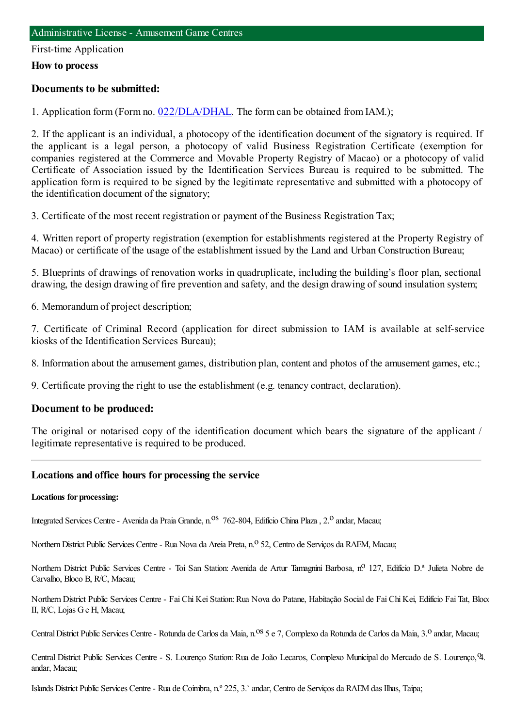#### First-time Application

#### **How to process**

#### **Documents to be submitted:**

1. Application form (Form no. [022/DLA/DHAL](https://www.iam.gov.mo/c/pdf/eformDetail/PDF1013). The form can be obtained from IAM.);

2. If the applicant is an individual, a photocopy of the identification document of the signatory is required. If the applicant is a legal person, a photocopy of valid Business Registration Certificate (exemption for companies registered at the Commerce and Movable Property Registry of Macao) or a photocopy of valid Certificate of Association issued by the Identification Services Bureau is required to be submitted. The application form is required to be signed by the legitimate representative and submitted with a photocopy of the identification document of the signatory;

3. Certificate of the most recent registration or payment of the Business Registration Tax;

4. Written report of property registration (exemption for establishments registered at the Property Registry of Macao) or certificate of the usage of the establishment issued by the Land and Urban Construction Bureau;

5. Blueprints of drawings of renovation works in quadruplicate, including the building's floor plan, sectional drawing, the design drawing of fire prevention and safety, and the design drawing of sound insulation system;

6. Memorandumof project description;

7. Certificate of Criminal Record (application for direct submission to IAM is available at self-service kiosks of the Identification Services Bureau);

8. Information about the amusement games, distribution plan, content and photos of the amusement games, etc.;

9. Certificate proving the right to use the establishment (e.g. tenancy contract, declaration).

#### **Document to be produced:**

The original or notarised copy of the identification document which bears the signature of the applicant / legitimate representative is required to be produced.

#### **Locations and office hours for processing the service**

#### **Locations for processing:**

Integrated Services Centre - Avenida da Praia Grande, n.<sup>0S</sup> 762-804, Edifício China Plaza, 2.<sup>0</sup> andar, Macau;

Northern District Public Services Centre - Rua Nova da Areia Preta, n.º 52, Centro de Serviços da RAEM, Macau;

Northern District Public Services Centre - Toi San Station: Avenida de Artur Tamagnini Barbosa, nº 127, Edifício D.ª Julieta Nobre de Carvalho, Bloco B, R/C, Macau;

Northern District Public Services Centre - Fai Chi Kei Station: Rua Nova do Patane, Habitação Social de Fai Chi Kei, Edifício Fai Tat, Bloco II, R/C, Lojas Ge H, Macau;

Central District Public Services Centre - Rotunda de Carlos da Maia, n.<sup>0S</sup> 5 e 7, Complexo da Rotunda de Carlos da Maia, 3.<sup>0</sup> andar, Macau;

Central District Public Services Centre - S. Lourenço Station: Rua de João Lecaros, Complexo Municipal do Mercado de S. Lourenço, 9. andar, Macau;

Islands District Public Services Centre- Rua de Coimbra, n.º 225, 3.˚andar, Centro de Serviços da RAEMdas Ilhas, Taipa;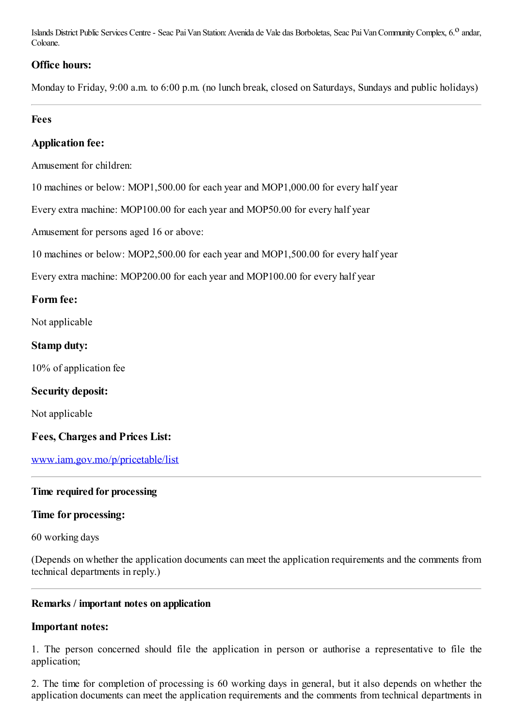Islands District Public Services Centre - Seac Pai Van Station: Avenida de Vale das Borboletas, Seac Pai Van Community Complex, 6.<sup>0</sup> andar, Coloane.

## **Office hours:**

Monday to Friday, 9:00 a.m. to 6:00 p.m. (no lunch break, closed on Saturdays, Sundays and public holidays)

## **Fees**

## **Application fee:**

Amusement for children:

10 machines or below: MOP1,500.00 for each year and MOP1,000.00 for every half year

Every extra machine: MOP100.00 for each year and MOP50.00 for every half year

Amusement for persons aged 16 or above:

10 machines or below: MOP2,500.00 for each year and MOP1,500.00 for every half year

Every extra machine: MOP200.00 for each year and MOP100.00 for every half year

## **Form fee:**

Not applicable

## **Stamp duty:**

10% of application fee

#### **Security deposit:**

Not applicable

## **Fees, Charges and Prices List:**

[www.iam.gov.mo/p/pricetable/list](http://www.iam.gov.mo/p/pricetable/list)

## **Time required for processing**

## **Time for processing:**

60 working days

(Depends on whether the application documents can meet the application requirements and the comments from technical departments in reply.)

#### **Remarks / important notes on application**

#### **Important notes:**

1. The person concerned should file the application in person or authorise a representative to file the application;

2. The time for completion of processing is 60 working days in general, but it also depends on whether the application documents can meet the application requirements and the comments from technical departments in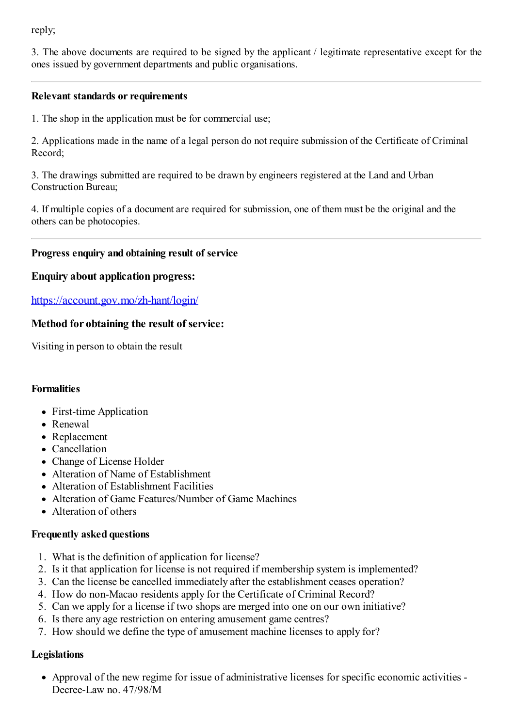reply;

3. The above documents are required to be signed by the applicant / legitimate representative except for the ones issued by government departments and public organisations.

### **Relevant standards or requirements**

1. The shop in the application must be for commercial use;

2. Applications made in the name of a legal person do not require submission of the Certificate of Criminal Record;

3. The drawings submitted are required to be drawn by engineers registered at the Land and Urban Construction Bureau;

4. If multiple copies of a document are required for submission, one of themmust be the original and the others can be photocopies.

#### **Progress enquiry and obtaining result of service**

#### **Enquiry about application progress:**

<https://account.gov.mo/zh-hant/login/>

## **Method for obtaining the result of service:**

Visiting in person to obtain the result

## **Formalities**

- First-time Application
- Renewal
- Replacement
- Cancellation
- Change of License Holder
- Alteration of Name of Establishment
- Alteration of Establishment Facilities
- Alteration of Game Features/Number of Game Machines
- Alteration of others

#### **Frequently asked questions**

- 1. What is the definition of application for license?
- 2. Is it that application for license is not required if membership system is implemented?
- 3. Can the license be cancelled immediately after the establishment ceases operation?
- 4. How do non-Macao residents apply for the Certificate of Criminal Record?
- 5. Can we apply for a license if two shops are merged into one on our own initiative?
- 6. Is there any age restriction on entering amusement game centres?
- 7. How should we define the type of amusement machine licenses to apply for?

## **Legislations**

Approval of the new regime for issue of administrative licenses for specific economic activities - Decree-Law no. 47/98/M